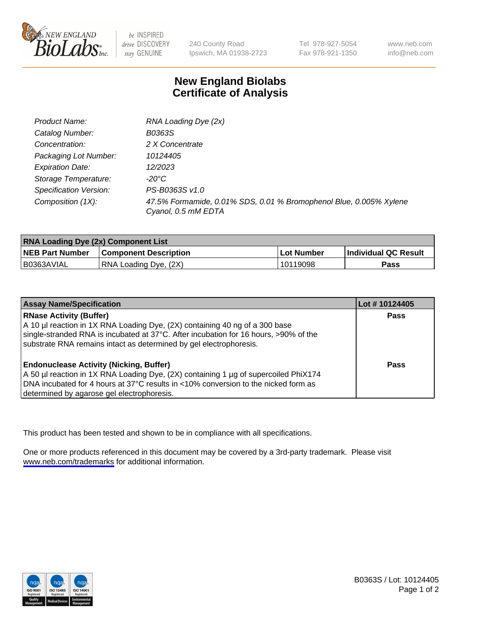

be INSPIRED drive DISCOVERY stay GENUINE

240 County Road Ipswich, MA 01938-2723

Tel 978-927-5054 Fax 978-921-1350

www.neb.com info@neb.com

## **New England Biolabs Certificate of Analysis**

| Product Name:           | RNA Loading Dye (2x)                                                                      |
|-------------------------|-------------------------------------------------------------------------------------------|
| Catalog Number:         | B0363S                                                                                    |
| Concentration:          | 2 X Concentrate                                                                           |
| Packaging Lot Number:   | 10124405                                                                                  |
| <b>Expiration Date:</b> | 12/2023                                                                                   |
| Storage Temperature:    | -20°C                                                                                     |
| Specification Version:  | PS-B0363S v1.0                                                                            |
| Composition (1X):       | 47.5% Formamide, 0.01% SDS, 0.01 % Bromophenol Blue, 0.005% Xylene<br>Cyanol, 0.5 mM EDTA |

| <b>RNA Loading Dye (2x) Component List</b> |                              |              |                      |  |
|--------------------------------------------|------------------------------|--------------|----------------------|--|
| <b>NEB Part Number</b>                     | <b>Component Description</b> | . Lot Number | Individual QC Result |  |
| B0363AVIAL                                 | RNA Loading Dye, (2X)        | 10119098     | <b>Pass</b>          |  |

| <b>Assay Name/Specification</b>                                                      | Lot # 10124405 |
|--------------------------------------------------------------------------------------|----------------|
| <b>RNase Activity (Buffer)</b>                                                       | <b>Pass</b>    |
| A 10 µl reaction in 1X RNA Loading Dye, (2X) containing 40 ng of a 300 base          |                |
| single-stranded RNA is incubated at 37°C. After incubation for 16 hours, >90% of the |                |
| substrate RNA remains intact as determined by gel electrophoresis.                   |                |
| <b>Endonuclease Activity (Nicking, Buffer)</b>                                       | Pass           |
| A 50 µl reaction in 1X RNA Loading Dye, (2X) containing 1 µg of supercoiled PhiX174  |                |
| DNA incubated for 4 hours at 37°C results in <10% conversion to the nicked form as   |                |
| determined by agarose gel electrophoresis.                                           |                |

This product has been tested and shown to be in compliance with all specifications.

One or more products referenced in this document may be covered by a 3rd-party trademark. Please visit <www.neb.com/trademarks>for additional information.